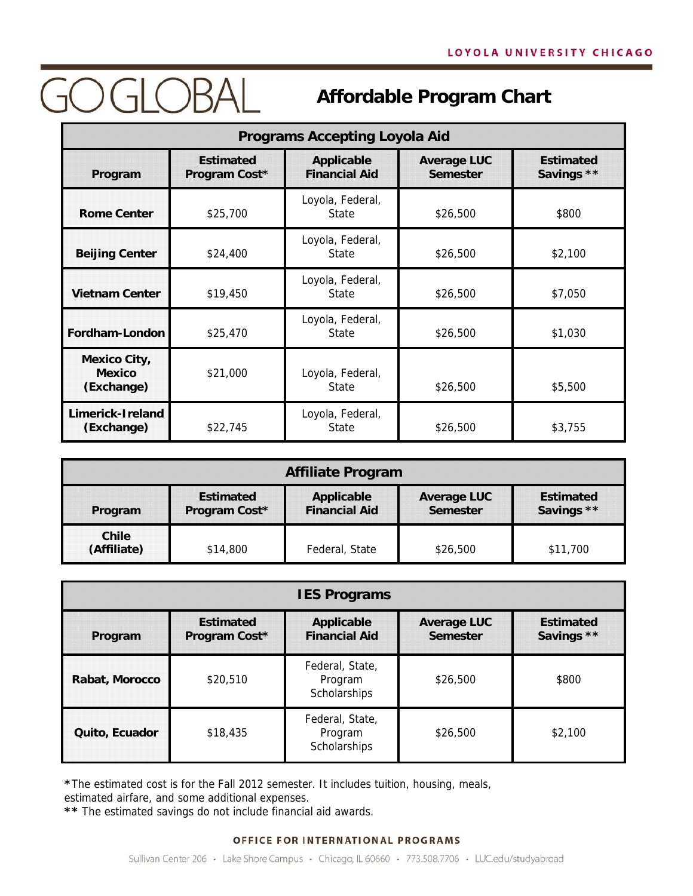## **GOGLOBAL**

### **Affordable Program Chart**

| <b>Programs Accepting Loyola Aid</b>               |                                   |                                           |                                       |                                |
|----------------------------------------------------|-----------------------------------|-------------------------------------------|---------------------------------------|--------------------------------|
| Program                                            | <b>Estimated</b><br>Program Cost* | <b>Applicable</b><br><b>Financial Aid</b> | <b>Average LUC</b><br><b>Semester</b> | <b>Estimated</b><br>Savings ** |
| <b>Rome Center</b>                                 | \$25,700                          | Loyola, Federal,<br><b>State</b>          | \$26,500                              | \$800                          |
| <b>Beijing Center</b>                              | \$24,400                          | Loyola, Federal,<br><b>State</b>          | \$26,500                              | \$2,100                        |
| <b>Vietnam Center</b>                              | \$19,450                          | Loyola, Federal,<br>State                 | \$26,500                              | \$7,050                        |
| Fordham-London                                     | \$25,470                          | Loyola, Federal,<br>State                 | \$26,500                              | \$1,030                        |
| <b>Mexico City,</b><br><b>Mexico</b><br>(Exchange) | \$21,000                          | Loyola, Federal,<br>State                 | \$26,500                              | \$5,500                        |
| Limerick-Ireland<br>(Exchange)                     | \$22,745                          | Loyola, Federal,<br>State                 | \$26,500                              | \$3,755                        |

| <b>Affiliate Program</b> |                                   |                                           |                                       |                                |
|--------------------------|-----------------------------------|-------------------------------------------|---------------------------------------|--------------------------------|
| Program                  | <b>Estimated</b><br>Program Cost* | <b>Applicable</b><br><b>Financial Aid</b> | <b>Average LUC</b><br><b>Semester</b> | <b>Estimated</b><br>Savings ** |
| Chile<br>(Affiliate)     | \$14,800                          | Federal, State                            | \$26,500                              | \$11,700                       |

| <b>IES Programs</b> |                                   |                                            |                                       |                                |
|---------------------|-----------------------------------|--------------------------------------------|---------------------------------------|--------------------------------|
| Program             | <b>Estimated</b><br>Program Cost* | <b>Applicable</b><br><b>Financial Aid</b>  | <b>Average LUC</b><br><b>Semester</b> | <b>Estimated</b><br>Savings ** |
| Rabat, Morocco      | \$20,510                          | Federal, State,<br>Program<br>Scholarships | \$26,500                              | \$800                          |
| Quito, Ecuador      | \$18,435                          | Federal, State,<br>Program<br>Scholarships | \$26,500                              | \$2.100                        |

**\***The estimated cost is for the Fall 2012 semester. It includes tuition, housing, meals,

estimated airfare, and some additional expenses.

**\*\*** The estimated savings do not include financial aid awards.

#### OFFICE FOR INTERNATIONAL PROGRAMS